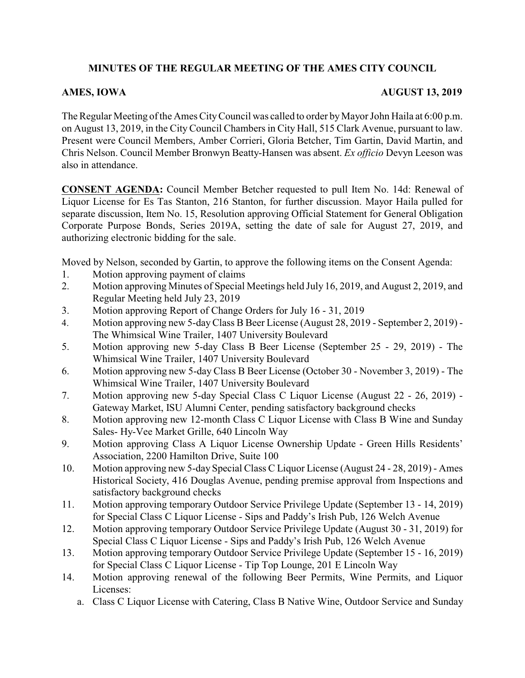# **MINUTES OF THE REGULAR MEETING OF THE AMES CITY COUNCIL**

## **AMES, IOWA AUGUST 13, 2019**

The Regular Meeting of the Ames City Council was called to order by Mayor John Haila at 6:00 p.m. on August 13, 2019, in the City Council Chambers in City Hall, 515 Clark Avenue, pursuant to law. Present were Council Members, Amber Corrieri, Gloria Betcher, Tim Gartin, David Martin, and Chris Nelson. Council Member Bronwyn Beatty-Hansen was absent. *Ex officio* Devyn Leeson was also in attendance.

**CONSENT AGENDA:** Council Member Betcher requested to pull Item No. 14d: Renewal of Liquor License for Es Tas Stanton, 216 Stanton, for further discussion. Mayor Haila pulled for separate discussion, Item No. 15, Resolution approving Official Statement for General Obligation Corporate Purpose Bonds, Series 2019A, setting the date of sale for August 27, 2019, and authorizing electronic bidding for the sale.

Moved by Nelson, seconded by Gartin, to approve the following items on the Consent Agenda:

- 1. Motion approving payment of claims
- 2. Motion approving Minutes of Special Meetings held July 16, 2019, and August 2, 2019, and Regular Meeting held July 23, 2019
- 3. Motion approving Report of Change Orders for July 16 31, 2019
- 4. Motion approving new 5-dayClass B Beer License (August 28, 2019 September 2, 2019) The Whimsical Wine Trailer, 1407 University Boulevard
- 5. Motion approving new 5-day Class B Beer License (September 25 29, 2019) The Whimsical Wine Trailer, 1407 University Boulevard
- 6. Motion approving new 5-day Class B Beer License (October 30 November 3, 2019) The Whimsical Wine Trailer, 1407 University Boulevard
- 7. Motion approving new 5-day Special Class C Liquor License (August 22 26, 2019) Gateway Market, ISU Alumni Center, pending satisfactory background checks
- 8. Motion approving new 12-month Class C Liquor License with Class B Wine and Sunday Sales- Hy-Vee Market Grille, 640 Lincoln Way
- 9. Motion approving Class A Liquor License Ownership Update Green Hills Residents' Association, 2200 Hamilton Drive, Suite 100
- 10. Motion approving new 5-day Special Class C Liquor License (August 24 28, 2019) Ames Historical Society, 416 Douglas Avenue, pending premise approval from Inspections and satisfactory background checks
- 11. Motion approving temporary Outdoor Service Privilege Update (September 13 14, 2019) for Special Class C Liquor License - Sips and Paddy's Irish Pub, 126 Welch Avenue
- 12. Motion approving temporary Outdoor Service Privilege Update (August 30 31, 2019) for Special Class C Liquor License - Sips and Paddy's Irish Pub, 126 Welch Avenue
- 13. Motion approving temporary Outdoor Service Privilege Update (September 15 16, 2019) for Special Class C Liquor License - Tip Top Lounge, 201 E Lincoln Way
- 14. Motion approving renewal of the following Beer Permits, Wine Permits, and Liquor Licenses:
	- a. Class C Liquor License with Catering, Class B Native Wine, Outdoor Service and Sunday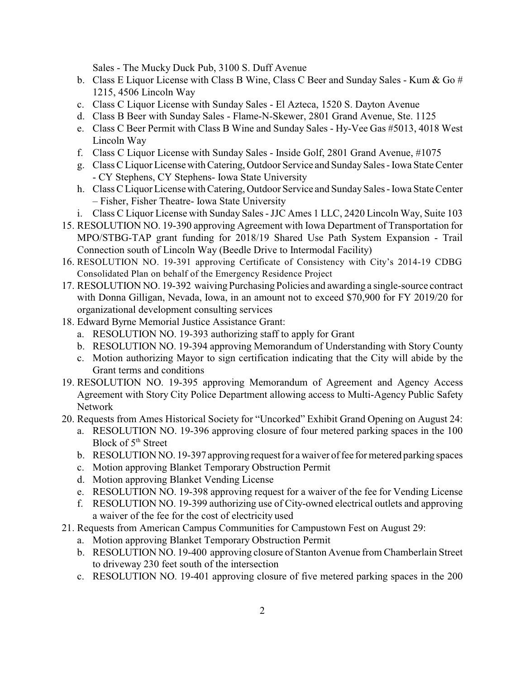Sales - The Mucky Duck Pub, 3100 S. Duff Avenue

- b. Class E Liquor License with Class B Wine, Class C Beer and Sunday Sales Kum & Go  $#$ 1215, 4506 Lincoln Way
- c. Class C Liquor License with Sunday Sales El Azteca, 1520 S. Dayton Avenue
- d. Class B Beer with Sunday Sales Flame-N-Skewer, 2801 Grand Avenue, Ste. 1125
- e. Class C Beer Permit with Class B Wine and Sunday Sales Hy-Vee Gas #5013, 4018 West Lincoln Way
- f. Class C Liquor License with Sunday Sales Inside Golf, 2801 Grand Avenue, #1075
- g. Class C Liquor License with Catering, Outdoor Service and SundaySales Iowa State Center - CY Stephens, CY Stephens- Iowa State University
- h. Class C Liquor License with Catering, Outdoor Service and Sunday Sales Iowa State Center – Fisher, Fisher Theatre- Iowa State University
- i. Class C Liquor License with Sunday Sales -JJC Ames 1 LLC, 2420 Lincoln Way, Suite 103
- 15. RESOLUTION NO. 19-390 approving Agreement with Iowa Department of Transportation for MPO/STBG-TAP grant funding for 2018/19 Shared Use Path System Expansion - Trail Connection south of Lincoln Way (Beedle Drive to Intermodal Facility)
- 16. RESOLUTION NO. 19-391 approving Certificate of Consistency with City's 2014-19 CDBG Consolidated Plan on behalf of the Emergency Residence Project
- 17. RESOLUTION NO. 19-392 waiving Purchasing Policies and awarding a single-source contract with Donna Gilligan, Nevada, Iowa, in an amount not to exceed \$70,900 for FY 2019/20 for organizational development consulting services
- 18. Edward Byrne Memorial Justice Assistance Grant:
	- a. RESOLUTION NO. 19-393 authorizing staff to apply for Grant
	- b. RESOLUTION NO. 19-394 approving Memorandum of Understanding with Story County
	- c. Motion authorizing Mayor to sign certification indicating that the City will abide by the Grant terms and conditions
- 19. RESOLUTION NO. 19-395 approving Memorandum of Agreement and Agency Access Agreement with Story City Police Department allowing access to Multi-Agency Public Safety Network
- 20. Requests from Ames Historical Society for "Uncorked" Exhibit Grand Opening on August 24:
	- a. RESOLUTION NO. 19-396 approving closure of four metered parking spaces in the 100 Block of 5<sup>th</sup> Street
	- b. RESOLUTION NO. 19-397 approving request for a waiver of fee for metered parking spaces
	- c. Motion approving Blanket Temporary Obstruction Permit
	- d. Motion approving Blanket Vending License
	- e. RESOLUTION NO. 19-398 approving request for a waiver of the fee for Vending License
	- f. RESOLUTION NO. 19-399 authorizing use of City-owned electrical outlets and approving a waiver of the fee for the cost of electricity used
- 21. Requests from American Campus Communities for Campustown Fest on August 29:
	- a. Motion approving Blanket Temporary Obstruction Permit
	- b. RESOLUTION NO. 19-400 approving closure of Stanton Avenue from Chamberlain Street to driveway 230 feet south of the intersection
	- c. RESOLUTION NO. 19-401 approving closure of five metered parking spaces in the 200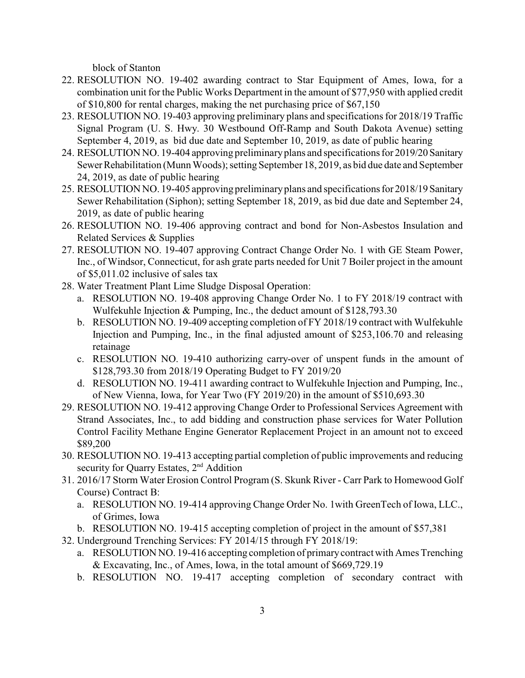block of Stanton

- 22. RESOLUTION NO. 19-402 awarding contract to Star Equipment of Ames, Iowa, for a combination unit for the Public Works Department in the amount of \$77,950 with applied credit of \$10,800 for rental charges, making the net purchasing price of \$67,150
- 23. RESOLUTION NO. 19-403 approving preliminary plans and specifications for 2018/19 Traffic Signal Program (U. S. Hwy. 30 Westbound Off-Ramp and South Dakota Avenue) setting September 4, 2019, as bid due date and September 10, 2019, as date of public hearing
- 24. RESOLUTION NO. 19-404 approving preliminaryplans and specifications for 2019/20 Sanitary Sewer Rehabilitation (Munn Woods); setting September 18, 2019, as bid due date and September 24, 2019, as date of public hearing
- 25. RESOLUTION NO. 19-405 approving preliminaryplans and specifications for 2018/19 Sanitary Sewer Rehabilitation (Siphon); setting September 18, 2019, as bid due date and September 24, 2019, as date of public hearing
- 26. RESOLUTION NO. 19-406 approving contract and bond for Non-Asbestos Insulation and Related Services & Supplies
- 27. RESOLUTION NO. 19-407 approving Contract Change Order No. 1 with GE Steam Power, Inc., of Windsor, Connecticut, for ash grate parts needed for Unit 7 Boiler project in the amount of \$5,011.02 inclusive of sales tax
- 28. Water Treatment Plant Lime Sludge Disposal Operation:
	- a. RESOLUTION NO. 19-408 approving Change Order No. 1 to FY 2018/19 contract with Wulfekuhle Injection & Pumping, Inc., the deduct amount of \$128,793.30
	- b. RESOLUTION NO. 19-409 accepting completion of FY 2018/19 contract with Wulfekuhle Injection and Pumping, Inc., in the final adjusted amount of \$253,106.70 and releasing retainage
	- c. RESOLUTION NO. 19-410 authorizing carry-over of unspent funds in the amount of \$128,793.30 from 2018/19 Operating Budget to FY 2019/20
	- d. RESOLUTION NO. 19-411 awarding contract to Wulfekuhle Injection and Pumping, Inc., of New Vienna, Iowa, for Year Two (FY 2019/20) in the amount of \$510,693.30
- 29. RESOLUTION NO. 19-412 approving Change Order to Professional Services Agreement with Strand Associates, Inc., to add bidding and construction phase services for Water Pollution Control Facility Methane Engine Generator Replacement Project in an amount not to exceed \$89,200
- 30. RESOLUTION NO. 19-413 accepting partial completion of public improvements and reducing security for Quarry Estates, 2<sup>nd</sup> Addition
- 31. 2016/17 Storm Water Erosion Control Program (S. Skunk River Carr Park to Homewood Golf Course) Contract B:
	- a. RESOLUTION NO. 19-414 approving Change Order No. 1with GreenTech of Iowa, LLC., of Grimes, Iowa
	- b. RESOLUTION NO. 19-415 accepting completion of project in the amount of \$57,381
- 32. Underground Trenching Services: FY 2014/15 through FY 2018/19:
	- a. RESOLUTION NO. 19-416 accepting completion of primarycontract with Ames Trenching & Excavating, Inc., of Ames, Iowa, in the total amount of \$669,729.19
	- b. RESOLUTION NO. 19-417 accepting completion of secondary contract with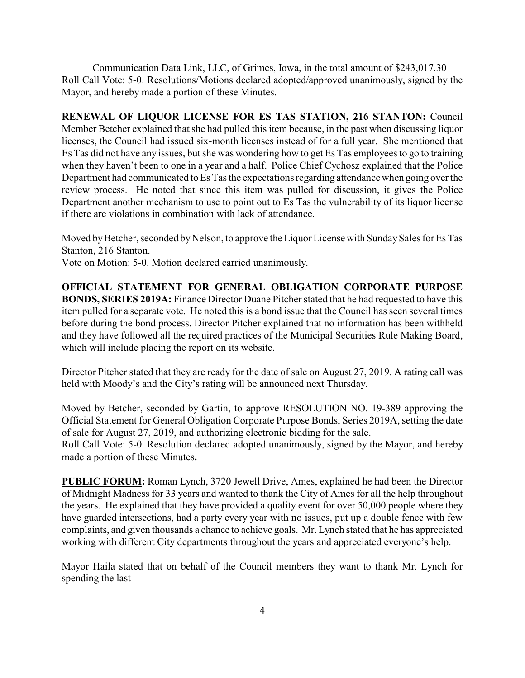Communication Data Link, LLC, of Grimes, Iowa, in the total amount of \$243,017.30 Roll Call Vote: 5-0. Resolutions/Motions declared adopted/approved unanimously, signed by the Mayor, and hereby made a portion of these Minutes.

**RENEWAL OF LIQUOR LICENSE FOR ES TAS STATION, 216 STANTON:** Council Member Betcher explained that she had pulled this item because, in the past when discussing liquor licenses, the Council had issued six-month licenses instead of for a full year. She mentioned that Es Tas did not have any issues, but she was wondering how to get Es Tas employees to go to training when they haven't been to one in a year and a half. Police Chief Cychosz explained that the Police Department had communicated to Es Tas the expectations regarding attendance when going over the review process. He noted that since this item was pulled for discussion, it gives the Police Department another mechanism to use to point out to Es Tas the vulnerability of its liquor license if there are violations in combination with lack of attendance.

Moved by Betcher, seconded by Nelson, to approve the Liquor License with Sunday Sales for Es Tas Stanton, 216 Stanton.

Vote on Motion: 5-0. Motion declared carried unanimously.

**OFFICIAL STATEMENT FOR GENERAL OBLIGATION CORPORATE PURPOSE BONDS, SERIES 2019A:** Finance Director Duane Pitcher stated that he had requested to have this item pulled for a separate vote. He noted this is a bond issue that the Council has seen several times before during the bond process. Director Pitcher explained that no information has been withheld and they have followed all the required practices of the Municipal Securities Rule Making Board, which will include placing the report on its website.

Director Pitcher stated that they are ready for the date of sale on August 27, 2019. A rating call was held with Moody's and the City's rating will be announced next Thursday.

Moved by Betcher, seconded by Gartin, to approve RESOLUTION NO. 19-389 approving the Official Statement for General Obligation Corporate Purpose Bonds, Series 2019A, setting the date of sale for August 27, 2019, and authorizing electronic bidding for the sale.

Roll Call Vote: 5-0. Resolution declared adopted unanimously, signed by the Mayor, and hereby made a portion of these Minutes**.**

**PUBLIC FORUM:** Roman Lynch, 3720 Jewell Drive, Ames, explained he had been the Director of Midnight Madness for 33 years and wanted to thank the City of Ames for all the help throughout the years. He explained that they have provided a quality event for over 50,000 people where they have guarded intersections, had a party every year with no issues, put up a double fence with few complaints, and given thousands a chance to achieve goals. Mr. Lynch stated that he has appreciated working with different City departments throughout the years and appreciated everyone's help.

Mayor Haila stated that on behalf of the Council members they want to thank Mr. Lynch for spending the last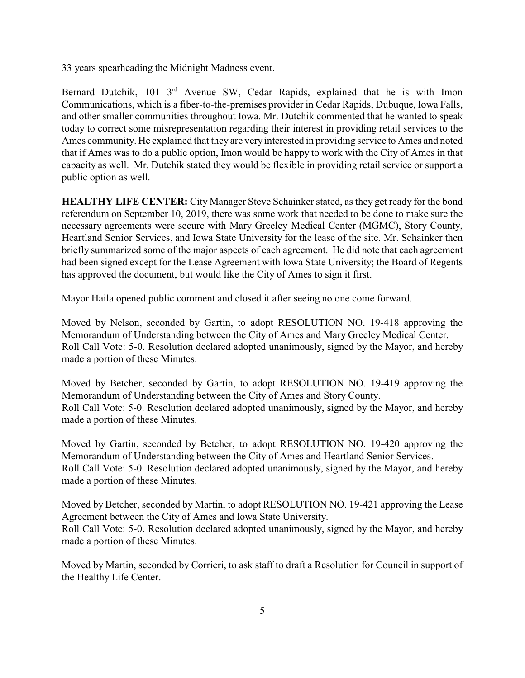33 years spearheading the Midnight Madness event.

Bernard Dutchik, 101 3<sup>rd</sup> Avenue SW, Cedar Rapids, explained that he is with Imon Communications, which is a fiber-to-the-premises provider in Cedar Rapids, Dubuque, Iowa Falls, and other smaller communities throughout Iowa. Mr. Dutchik commented that he wanted to speak today to correct some misrepresentation regarding their interest in providing retail services to the Ames community. He explained that they are very interested in providing service to Ames and noted that if Ames was to do a public option, Imon would be happy to work with the City of Ames in that capacity as well. Mr. Dutchik stated they would be flexible in providing retail service or support a public option as well.

**HEALTHY LIFE CENTER:** City Manager Steve Schainker stated, as they get ready for the bond referendum on September 10, 2019, there was some work that needed to be done to make sure the necessary agreements were secure with Mary Greeley Medical Center (MGMC), Story County, Heartland Senior Services, and Iowa State University for the lease of the site. Mr. Schainker then briefly summarized some of the major aspects of each agreement. He did note that each agreement had been signed except for the Lease Agreement with Iowa State University; the Board of Regents has approved the document, but would like the City of Ames to sign it first.

Mayor Haila opened public comment and closed it after seeing no one come forward.

Moved by Nelson, seconded by Gartin, to adopt RESOLUTION NO. 19-418 approving the Memorandum of Understanding between the City of Ames and Mary Greeley Medical Center. Roll Call Vote: 5-0. Resolution declared adopted unanimously, signed by the Mayor, and hereby made a portion of these Minutes.

Moved by Betcher, seconded by Gartin, to adopt RESOLUTION NO. 19-419 approving the Memorandum of Understanding between the City of Ames and Story County. Roll Call Vote: 5-0. Resolution declared adopted unanimously, signed by the Mayor, and hereby made a portion of these Minutes.

Moved by Gartin, seconded by Betcher, to adopt RESOLUTION NO. 19-420 approving the Memorandum of Understanding between the City of Ames and Heartland Senior Services. Roll Call Vote: 5-0. Resolution declared adopted unanimously, signed by the Mayor, and hereby made a portion of these Minutes.

Moved by Betcher, seconded by Martin, to adopt RESOLUTION NO. 19-421 approving the Lease Agreement between the City of Ames and Iowa State University.

Roll Call Vote: 5-0. Resolution declared adopted unanimously, signed by the Mayor, and hereby made a portion of these Minutes.

Moved by Martin, seconded by Corrieri, to ask staff to draft a Resolution for Council in support of the Healthy Life Center.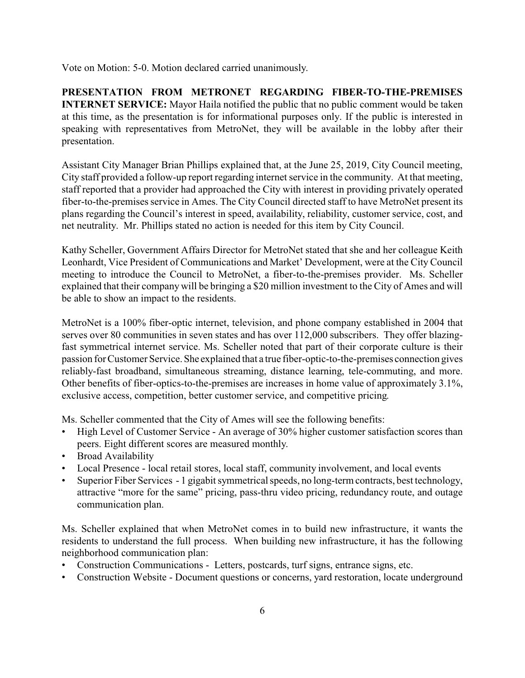Vote on Motion: 5-0. Motion declared carried unanimously.

**PRESENTATION FROM METRONET REGARDING FIBER-TO-THE-PREMISES INTERNET SERVICE:** Mayor Haila notified the public that no public comment would be taken at this time, as the presentation is for informational purposes only. If the public is interested in speaking with representatives from MetroNet, they will be available in the lobby after their presentation.

Assistant City Manager Brian Phillips explained that, at the June 25, 2019, City Council meeting, City staff provided a follow-up report regarding internet service in the community. At that meeting, staff reported that a provider had approached the City with interest in providing privately operated fiber-to-the-premises service in Ames. The City Council directed staff to have MetroNet present its plans regarding the Council's interest in speed, availability, reliability, customer service, cost, and net neutrality. Mr. Phillips stated no action is needed for this item by City Council.

Kathy Scheller, Government Affairs Director for MetroNet stated that she and her colleague Keith Leonhardt, Vice President of Communications and Market' Development, were at the City Council meeting to introduce the Council to MetroNet, a fiber-to-the-premises provider. Ms. Scheller explained that their companywill be bringing a \$20 million investment to the City of Ames and will be able to show an impact to the residents.

MetroNet is a 100% fiber-optic internet, television, and phone company established in 2004 that serves over 80 communities in seven states and has over 112,000 subscribers. They offer blazingfast symmetrical internet service. Ms. Scheller noted that part of their corporate culture is their passion for Customer Service.She explained that a true fiber-optic-to-the-premises connection gives reliably-fast broadband, simultaneous streaming, distance learning, tele-commuting, and more. Other benefits of fiber-optics-to-the-premises are increases in home value of approximately 3.1%, exclusive access, competition, better customer service, and competitive pricing.

Ms. Scheller commented that the City of Ames will see the following benefits:

- High Level of Customer Service An average of 30% higher customer satisfaction scores than peers. Eight different scores are measured monthly.
- Broad Availability
- Local Presence local retail stores, local staff, community involvement, and local events
- Superior Fiber Services 1 gigabit symmetrical speeds, no long-term contracts, best technology, attractive "more for the same" pricing, pass-thru video pricing, redundancy route, and outage communication plan.

Ms. Scheller explained that when MetroNet comes in to build new infrastructure, it wants the residents to understand the full process. When building new infrastructure, it has the following neighborhood communication plan:

- Construction Communications Letters, postcards, turf signs, entrance signs, etc.
- Construction Website Document questions or concerns, yard restoration, locate underground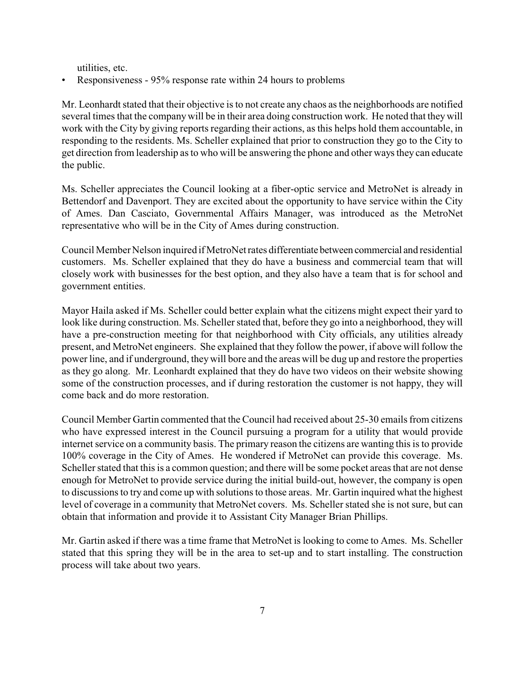utilities, etc.

• Responsiveness - 95% response rate within 24 hours to problems

Mr. Leonhardt stated that their objective is to not create any chaos as the neighborhoods are notified several times that the companywill be in their area doing construction work. He noted that they will work with the City by giving reports regarding their actions, as this helps hold them accountable, in responding to the residents. Ms. Scheller explained that prior to construction they go to the City to get direction from leadership as to who will be answering the phone and other ways they can educate the public.

Ms. Scheller appreciates the Council looking at a fiber-optic service and MetroNet is already in Bettendorf and Davenport. They are excited about the opportunity to have service within the City of Ames. Dan Casciato, Governmental Affairs Manager, was introduced as the MetroNet representative who will be in the City of Ames during construction.

Council Member Nelson inquired if MetroNet rates differentiate between commercial and residential customers. Ms. Scheller explained that they do have a business and commercial team that will closely work with businesses for the best option, and they also have a team that is for school and government entities.

Mayor Haila asked if Ms. Scheller could better explain what the citizens might expect their yard to look like during construction. Ms. Scheller stated that, before they go into a neighborhood, they will have a pre-construction meeting for that neighborhood with City officials, any utilities already present, and MetroNet engineers. She explained that they follow the power, if above will follow the power line, and if underground, theywill bore and the areas will be dug up and restore the properties as they go along. Mr. Leonhardt explained that they do have two videos on their website showing some of the construction processes, and if during restoration the customer is not happy, they will come back and do more restoration.

Council Member Gartin commented that the Council had received about 25-30 emails from citizens who have expressed interest in the Council pursuing a program for a utility that would provide internet service on a community basis. The primary reason the citizens are wanting this is to provide 100% coverage in the City of Ames. He wondered if MetroNet can provide this coverage. Ms. Scheller stated that this is a common question; and there will be some pocket areas that are not dense enough for MetroNet to provide service during the initial build-out, however, the company is open to discussions to try and come up with solutions to those areas. Mr. Gartin inquired what the highest level of coverage in a community that MetroNet covers. Ms. Scheller stated she is not sure, but can obtain that information and provide it to Assistant City Manager Brian Phillips.

Mr. Gartin asked if there was a time frame that MetroNet is looking to come to Ames. Ms. Scheller stated that this spring they will be in the area to set-up and to start installing. The construction process will take about two years.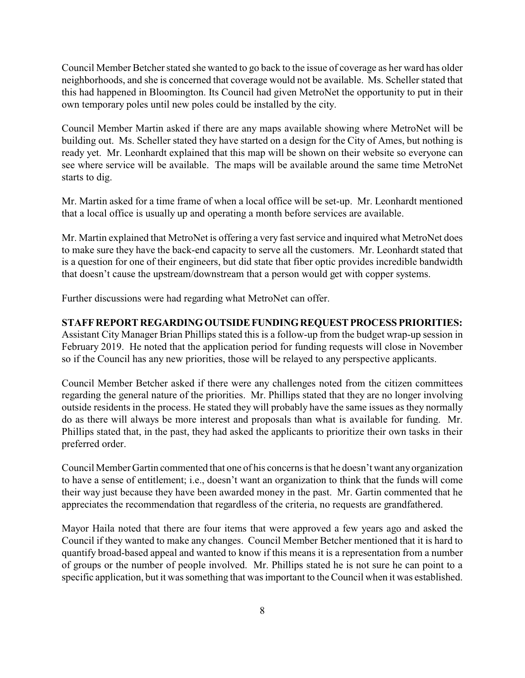Council Member Betcher stated she wanted to go back to the issue of coverage as her ward has older neighborhoods, and she is concerned that coverage would not be available. Ms. Scheller stated that this had happened in Bloomington. Its Council had given MetroNet the opportunity to put in their own temporary poles until new poles could be installed by the city.

Council Member Martin asked if there are any maps available showing where MetroNet will be building out. Ms. Scheller stated they have started on a design for the City of Ames, but nothing is ready yet. Mr. Leonhardt explained that this map will be shown on their website so everyone can see where service will be available. The maps will be available around the same time MetroNet starts to dig.

Mr. Martin asked for a time frame of when a local office will be set-up. Mr. Leonhardt mentioned that a local office is usually up and operating a month before services are available.

Mr. Martin explained that MetroNet is offering a very fast service and inquired what MetroNet does to make sure they have the back-end capacity to serve all the customers. Mr. Leonhardt stated that is a question for one of their engineers, but did state that fiber optic provides incredible bandwidth that doesn't cause the upstream/downstream that a person would get with copper systems.

Further discussions were had regarding what MetroNet can offer.

#### **STAFFREPORT REGARDINGOUTSIDEFUNDINGREQUESTPROCESS PRIORITIES:**

Assistant City Manager Brian Phillips stated this is a follow-up from the budget wrap-up session in February 2019. He noted that the application period for funding requests will close in November so if the Council has any new priorities, those will be relayed to any perspective applicants.

Council Member Betcher asked if there were any challenges noted from the citizen committees regarding the general nature of the priorities. Mr. Phillips stated that they are no longer involving outside residents in the process. He stated they will probably have the same issues as they normally do as there will always be more interest and proposals than what is available for funding. Mr. Phillips stated that, in the past, they had asked the applicants to prioritize their own tasks in their preferred order.

Council Member Gartin commented that one of his concerns is that he doesn't want anyorganization to have a sense of entitlement; i.e., doesn't want an organization to think that the funds will come their way just because they have been awarded money in the past. Mr. Gartin commented that he appreciates the recommendation that regardless of the criteria, no requests are grandfathered.

Mayor Haila noted that there are four items that were approved a few years ago and asked the Council if they wanted to make any changes. Council Member Betcher mentioned that it is hard to quantify broad-based appeal and wanted to know if this means it is a representation from a number of groups or the number of people involved. Mr. Phillips stated he is not sure he can point to a specific application, but it was something that was important to the Council when it was established.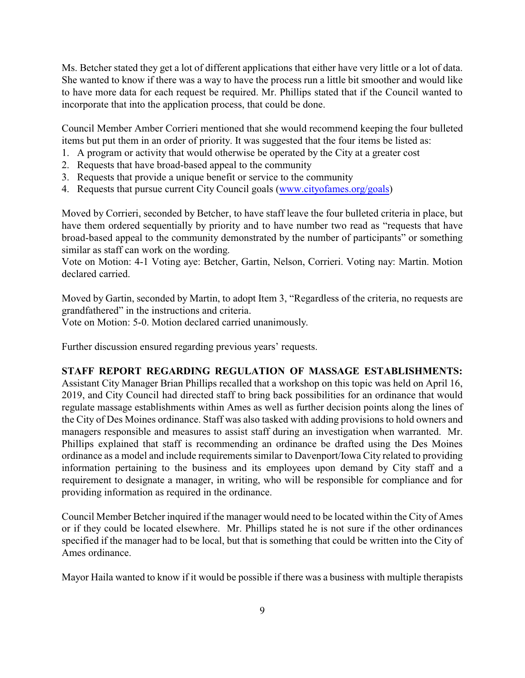Ms. Betcher stated they get a lot of different applications that either have very little or a lot of data. She wanted to know if there was a way to have the process run a little bit smoother and would like to have more data for each request be required. Mr. Phillips stated that if the Council wanted to incorporate that into the application process, that could be done.

Council Member Amber Corrieri mentioned that she would recommend keeping the four bulleted items but put them in an order of priority. It was suggested that the four items be listed as:

- 1. A program or activity that would otherwise be operated by the City at a greater cost
- 2. Requests that have broad-based appeal to the community
- 3. Requests that provide a unique benefit or service to the community
- 4. Requests that pursue current City Council goals [\(www.cityofames.org/goals](http://www.cityofames.org/goals)))

Moved by Corrieri, seconded by Betcher, to have staff leave the four bulleted criteria in place, but have them ordered sequentially by priority and to have number two read as "requests that have broad-based appeal to the community demonstrated by the number of participants" or something similar as staff can work on the wording.

Vote on Motion: 4-1 Voting aye: Betcher, Gartin, Nelson, Corrieri. Voting nay: Martin. Motion declared carried.

Moved by Gartin, seconded by Martin, to adopt Item 3, "Regardless of the criteria, no requests are grandfathered" in the instructions and criteria.

Vote on Motion: 5-0. Motion declared carried unanimously.

Further discussion ensured regarding previous years' requests.

### **STAFF REPORT REGARDING REGULATION OF MASSAGE ESTABLISHMENTS:**

Assistant City Manager Brian Phillips recalled that a workshop on this topic was held on April 16, 2019, and City Council had directed staff to bring back possibilities for an ordinance that would regulate massage establishments within Ames as well as further decision points along the lines of the City of Des Moines ordinance. Staff was also tasked with adding provisions to hold owners and managers responsible and measures to assist staff during an investigation when warranted. Mr. Phillips explained that staff is recommending an ordinance be drafted using the Des Moines ordinance as a model and include requirements similar to Davenport/Iowa City related to providing information pertaining to the business and its employees upon demand by City staff and a requirement to designate a manager, in writing, who will be responsible for compliance and for providing information as required in the ordinance.

Council Member Betcher inquired if the manager would need to be located within the City of Ames or if they could be located elsewhere. Mr. Phillips stated he is not sure if the other ordinances specified if the manager had to be local, but that is something that could be written into the City of Ames ordinance.

Mayor Haila wanted to know if it would be possible if there was a business with multiple therapists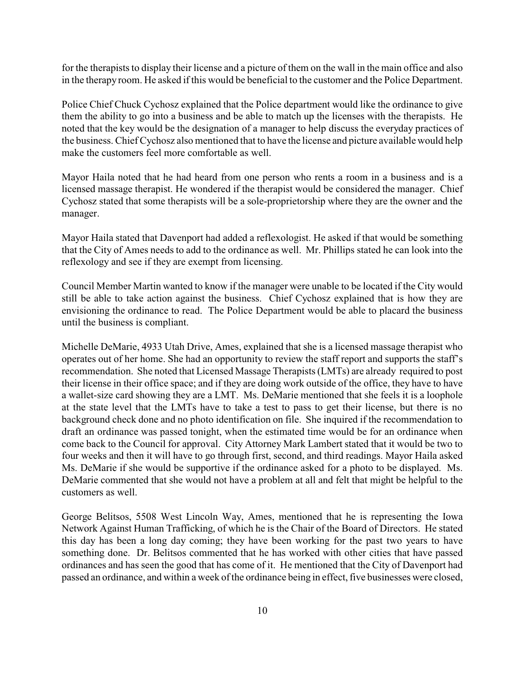for the therapists to display their license and a picture of them on the wall in the main office and also in the therapy room. He asked if this would be beneficial to the customer and the Police Department.

Police Chief Chuck Cychosz explained that the Police department would like the ordinance to give them the ability to go into a business and be able to match up the licenses with the therapists. He noted that the key would be the designation of a manager to help discuss the everyday practices of the business. Chief Cychosz also mentioned that to have the license and picture available would help make the customers feel more comfortable as well.

Mayor Haila noted that he had heard from one person who rents a room in a business and is a licensed massage therapist. He wondered if the therapist would be considered the manager. Chief Cychosz stated that some therapists will be a sole-proprietorship where they are the owner and the manager.

Mayor Haila stated that Davenport had added a reflexologist. He asked if that would be something that the City of Ames needs to add to the ordinance as well. Mr. Phillips stated he can look into the reflexology and see if they are exempt from licensing.

Council Member Martin wanted to know if the manager were unable to be located if the City would still be able to take action against the business. Chief Cychosz explained that is how they are envisioning the ordinance to read. The Police Department would be able to placard the business until the business is compliant.

Michelle DeMarie, 4933 Utah Drive, Ames, explained that she is a licensed massage therapist who operates out of her home. She had an opportunity to review the staff report and supports the staff's recommendation. She noted that Licensed Massage Therapists (LMTs) are already required to post their license in their office space; and if they are doing work outside of the office, they have to have a wallet-size card showing they are a LMT. Ms. DeMarie mentioned that she feels it is a loophole at the state level that the LMTs have to take a test to pass to get their license, but there is no background check done and no photo identification on file. She inquired if the recommendation to draft an ordinance was passed tonight, when the estimated time would be for an ordinance when come back to the Council for approval. City Attorney Mark Lambert stated that it would be two to four weeks and then it will have to go through first, second, and third readings. Mayor Haila asked Ms. DeMarie if she would be supportive if the ordinance asked for a photo to be displayed. Ms. DeMarie commented that she would not have a problem at all and felt that might be helpful to the customers as well.

George Belitsos, 5508 West Lincoln Way, Ames, mentioned that he is representing the Iowa Network Against Human Trafficking, of which he is the Chair of the Board of Directors. He stated this day has been a long day coming; they have been working for the past two years to have something done. Dr. Belitsos commented that he has worked with other cities that have passed ordinances and has seen the good that has come of it. He mentioned that the City of Davenport had passed an ordinance, and within a week of the ordinance being in effect, five businesses were closed,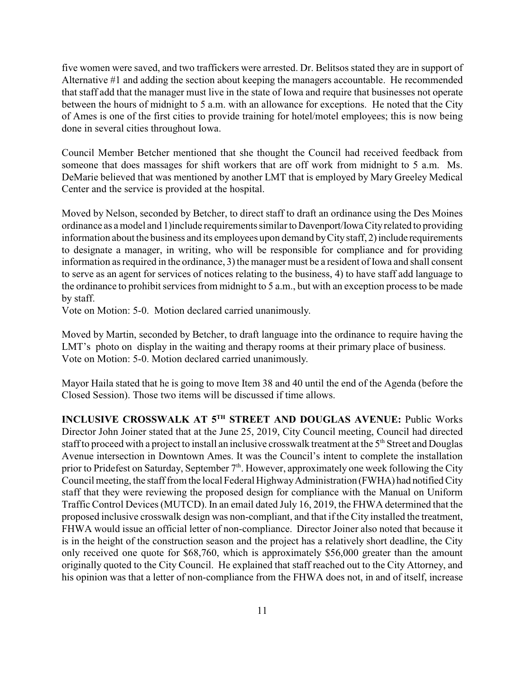five women were saved, and two traffickers were arrested. Dr. Belitsos stated they are in support of Alternative #1 and adding the section about keeping the managers accountable. He recommended that staff add that the manager must live in the state of Iowa and require that businesses not operate between the hours of midnight to 5 a.m. with an allowance for exceptions. He noted that the City of Ames is one of the first cities to provide training for hotel/motel employees; this is now being done in several cities throughout Iowa.

Council Member Betcher mentioned that she thought the Council had received feedback from someone that does massages for shift workers that are off work from midnight to 5 a.m. Ms. DeMarie believed that was mentioned by another LMT that is employed by Mary Greeley Medical Center and the service is provided at the hospital.

Moved by Nelson, seconded by Betcher, to direct staff to draft an ordinance using the Des Moines ordinance as a model and 1)include requirements similar toDavenport/IowaCityrelated to providing information about the business and its employees upon demand by City staff, 2) include requirements to designate a manager, in writing, who will be responsible for compliance and for providing information as required in the ordinance, 3) the manager must be a resident of Iowa and shall consent to serve as an agent for services of notices relating to the business, 4) to have staff add language to the ordinance to prohibit services from midnight to 5 a.m., but with an exception process to be made by staff.

Vote on Motion: 5-0. Motion declared carried unanimously.

Moved by Martin, seconded by Betcher, to draft language into the ordinance to require having the LMT's photo on display in the waiting and therapy rooms at their primary place of business. Vote on Motion: 5-0. Motion declared carried unanimously.

Mayor Haila stated that he is going to move Item 38 and 40 until the end of the Agenda (before the Closed Session). Those two items will be discussed if time allows.

**INCLUSIVE CROSSWALK AT 5 TH STREET AND DOUGLAS AVENUE:** Public Works Director John Joiner stated that at the June 25, 2019, City Council meeting, Council had directed staff to proceed with a project to install an inclusive crosswalk treatment at the  $5<sup>th</sup>$  Street and Douglas Avenue intersection in Downtown Ames. It was the Council's intent to complete the installation prior to Pridefest on Saturday, September  $7<sup>th</sup>$ . However, approximately one week following the City Council meeting, the staff from the local Federal HighwayAdministration (FWHA) had notified City staff that they were reviewing the proposed design for compliance with the Manual on Uniform Traffic Control Devices (MUTCD). In an email dated July 16, 2019, the FHWA determined that the proposed inclusive crosswalk design was non-compliant, and that if the City installed the treatment, FHWA would issue an official letter of non-compliance. Director Joiner also noted that because it is in the height of the construction season and the project has a relatively short deadline, the City only received one quote for \$68,760, which is approximately \$56,000 greater than the amount originally quoted to the City Council. He explained that staff reached out to the City Attorney, and his opinion was that a letter of non-compliance from the FHWA does not, in and of itself, increase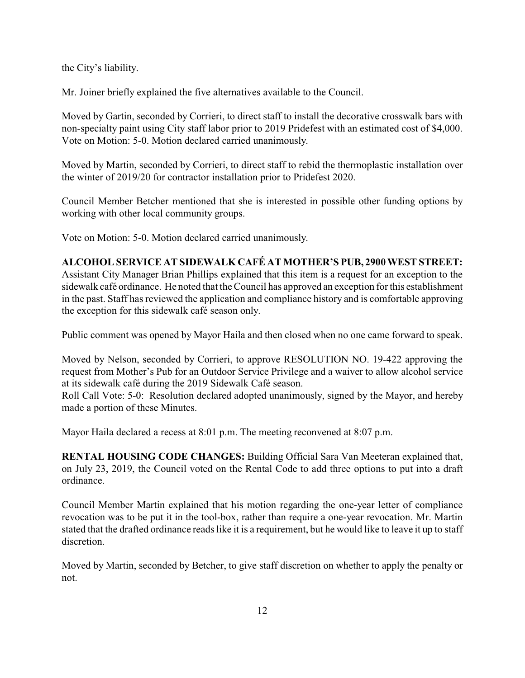the City's liability.

Mr. Joiner briefly explained the five alternatives available to the Council.

Moved by Gartin, seconded by Corrieri, to direct staff to install the decorative crosswalk bars with non-specialty paint using City staff labor prior to 2019 Pridefest with an estimated cost of \$4,000. Vote on Motion: 5-0. Motion declared carried unanimously.

Moved by Martin, seconded by Corrieri, to direct staff to rebid the thermoplastic installation over the winter of 2019/20 for contractor installation prior to Pridefest 2020.

Council Member Betcher mentioned that she is interested in possible other funding options by working with other local community groups.

Vote on Motion: 5-0. Motion declared carried unanimously.

## **ALCOHOL SERVICE AT SIDEWALK CAFÉ AT MOTHER'S PUB, 2900 WEST STREET:**

Assistant City Manager Brian Phillips explained that this item is a request for an exception to the sidewalk café ordinance. He noted that the Council has approved an exception for this establishment in the past. Staff has reviewed the application and compliance history and is comfortable approving the exception for this sidewalk café season only.

Public comment was opened by Mayor Haila and then closed when no one came forward to speak.

Moved by Nelson, seconded by Corrieri, to approve RESOLUTION NO. 19-422 approving the request from Mother's Pub for an Outdoor Service Privilege and a waiver to allow alcohol service at its sidewalk café during the 2019 Sidewalk Café season.

Roll Call Vote: 5-0: Resolution declared adopted unanimously, signed by the Mayor, and hereby made a portion of these Minutes.

Mayor Haila declared a recess at 8:01 p.m. The meeting reconvened at 8:07 p.m.

**RENTAL HOUSING CODE CHANGES:** Building Official Sara Van Meeteran explained that, on July 23, 2019, the Council voted on the Rental Code to add three options to put into a draft ordinance.

Council Member Martin explained that his motion regarding the one-year letter of compliance revocation was to be put it in the tool-box, rather than require a one-year revocation. Mr. Martin stated that the drafted ordinance reads like it is a requirement, but he would like to leave it up to staff discretion.

Moved by Martin, seconded by Betcher, to give staff discretion on whether to apply the penalty or not.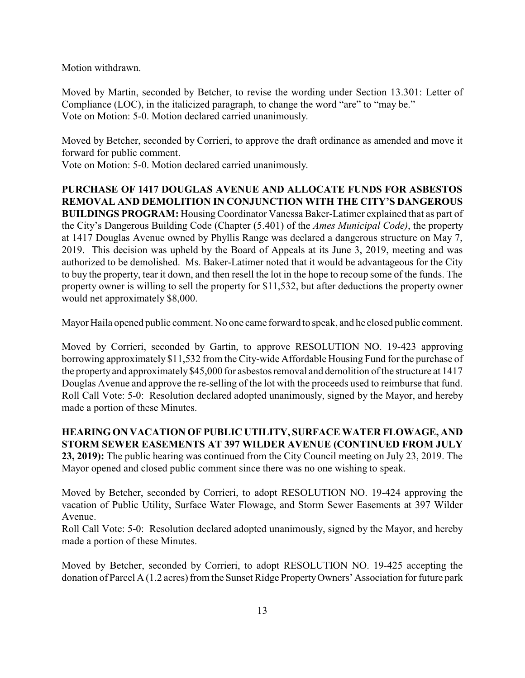Motion withdrawn.

Moved by Martin, seconded by Betcher, to revise the wording under Section 13.301: Letter of Compliance (LOC), in the italicized paragraph, to change the word "are" to "may be." Vote on Motion: 5-0. Motion declared carried unanimously.

Moved by Betcher, seconded by Corrieri, to approve the draft ordinance as amended and move it forward for public comment.

Vote on Motion: 5-0. Motion declared carried unanimously.

**PURCHASE OF 1417 DOUGLAS AVENUE AND ALLOCATE FUNDS FOR ASBESTOS REMOVAL AND DEMOLITION IN CONJUNCTION WITH THE CITY'S DANGEROUS BUILDINGS PROGRAM:** Housing Coordinator Vanessa Baker-Latimer explained that as part of the City's Dangerous Building Code (Chapter (5.401) of the *Ames Municipal Code)*, the property at 1417 Douglas Avenue owned by Phyllis Range was declared a dangerous structure on May 7, 2019. This decision was upheld by the Board of Appeals at its June 3, 2019, meeting and was authorized to be demolished. Ms. Baker-Latimer noted that it would be advantageous for the City to buy the property, tear it down, and then resell the lot in the hope to recoup some of the funds. The property owner is willing to sell the property for \$11,532, but after deductions the property owner would net approximately \$8,000.

Mayor Haila opened public comment. No one came forward to speak, and he closed public comment.

Moved by Corrieri, seconded by Gartin, to approve RESOLUTION NO. 19-423 approving borrowing approximately \$11,532 from the City-wide Affordable Housing Fund for the purchase of the propertyand approximately \$45,000 for asbestos removal and demolition of the structure at 1417 Douglas Avenue and approve the re-selling of the lot with the proceeds used to reimburse that fund. Roll Call Vote: 5-0: Resolution declared adopted unanimously, signed by the Mayor, and hereby made a portion of these Minutes.

**HEARING ON VACATION OF PUBLIC UTILITY, SURFACE WATER FLOWAGE, AND STORM SEWER EASEMENTS AT 397 WILDER AVENUE (CONTINUED FROM JULY 23, 2019):** The public hearing was continued from the City Council meeting on July 23, 2019. The Mayor opened and closed public comment since there was no one wishing to speak.

Moved by Betcher, seconded by Corrieri, to adopt RESOLUTION NO. 19-424 approving the vacation of Public Utility, Surface Water Flowage, and Storm Sewer Easements at 397 Wilder Avenue.

Roll Call Vote: 5-0: Resolution declared adopted unanimously, signed by the Mayor, and hereby made a portion of these Minutes.

Moved by Betcher, seconded by Corrieri, to adopt RESOLUTION NO. 19-425 accepting the donation of Parcel A (1.2 acres) from the Sunset Ridge PropertyOwners' Association for future park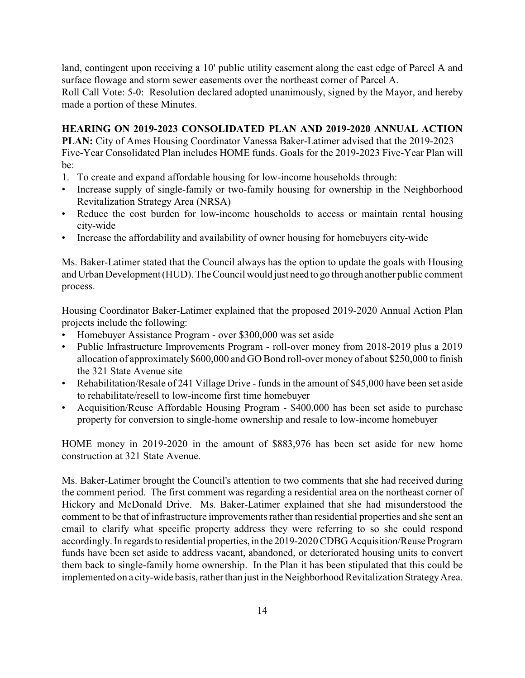land, contingent upon receiving a 10' public utility easement along the east edge of Parcel A and surface flowage and storm sewer easements over the northeast corner of Parcel A.

Roll Call Vote: 5-0: Resolution declared adopted unanimously, signed by the Mayor, and hereby made a portion of these Minutes.

## **HEARING ON 2019-2023 CONSOLIDATED PLAN AND 2019-2020 ANNUAL ACTION**

**PLAN:** City of Ames Housing Coordinator Vanessa Baker-Latimer advised that the 2019-2023 Five-Year Consolidated Plan includes HOME funds. Goals for the 2019-2023 Five-Year Plan will  $he^{\cdot}$ 

- 1. To create and expand affordable housing for low-income households through:
- Increase supply of single-family or two-family housing for ownership in the Neighborhood Revitalization Strategy Area (NRSA)
- Reduce the cost burden for low-income households to access or maintain rental housing city-wide
- Increase the affordability and availability of owner housing for homebuyers city-wide

Ms. Baker-Latimer stated that the Council always has the option to update the goals with Housing and Urban Development (HUD). The Council would just need to go through another public comment process.

Housing Coordinator Baker-Latimer explained that the proposed 2019-2020 Annual Action Plan projects include the following:

- Homebuyer Assistance Program over \$300,000 was set aside
- Public Infrastructure Improvements Program roll-over money from 2018-2019 plus a 2019 allocation of approximately \$600,000 and GO Bond roll-over money of about \$250,000 to finish the 321 State Avenue site
- Rehabilitation/Resale of 241 Village Drive funds in the amount of \$45,000 have been set aside to rehabilitate/resell to low-income first time homebuyer
- Acquisition/Reuse Affordable Housing Program \$400,000 has been set aside to purchase property for conversion to single-home ownership and resale to low-income homebuyer

HOME money in 2019-2020 in the amount of \$883,976 has been set aside for new home construction at 321 State Avenue.

Ms. Baker-Latimer brought the Council's attention to two comments that she had received during the comment period. The first comment was regarding a residential area on the northeast corner of Hickory and McDonald Drive. Ms. Baker-Latimer explained that she had misunderstood the comment to be that of infrastructure improvements rather than residential properties and she sent an email to clarify what specific property address they were referring to so she could respond accordingly. In regards to residential properties, in the 2019-2020 CDBG Acquisition/Reuse Program funds have been set aside to address vacant, abandoned, or deteriorated housing units to convert them back to single-family home ownership. In the Plan it has been stipulated that this could be implemented on a city-wide basis, rather than just in the Neighborhood Revitalization Strategy Area.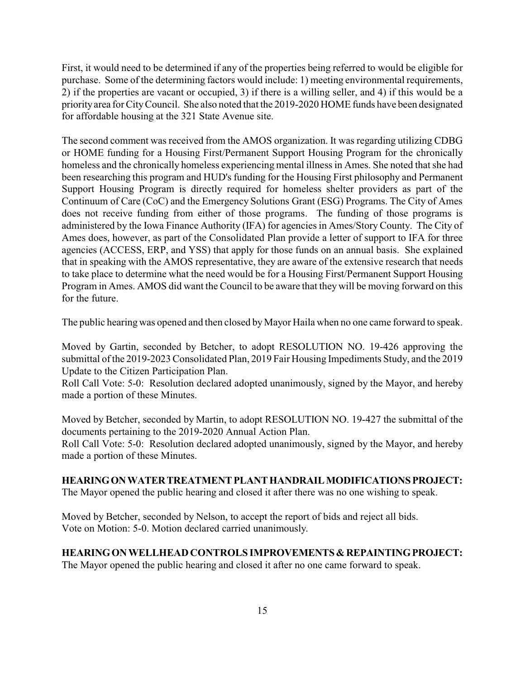First, it would need to be determined if any of the properties being referred to would be eligible for purchase. Some of the determining factors would include: 1) meeting environmental requirements, 2) if the properties are vacant or occupied, 3) if there is a willing seller, and 4) if this would be a priorityarea for CityCouncil. She also noted that the 2019-2020 HOME funds have been designated for affordable housing at the 321 State Avenue site.

The second comment was received from the AMOS organization. It was regarding utilizing CDBG or HOME funding for a Housing First/Permanent Support Housing Program for the chronically homeless and the chronically homeless experiencing mental illness in Ames. She noted that she had been researching this program and HUD's funding for the Housing First philosophy and Permanent Support Housing Program is directly required for homeless shelter providers as part of the Continuum of Care (CoC) and the Emergency Solutions Grant (ESG) Programs. The City of Ames does not receive funding from either of those programs. The funding of those programs is administered by the Iowa Finance Authority (IFA) for agencies in Ames/Story County. The City of Ames does, however, as part of the Consolidated Plan provide a letter of support to IFA for three agencies (ACCESS, ERP, and YSS) that apply for those funds on an annual basis. She explained that in speaking with the AMOS representative, they are aware of the extensive research that needs to take place to determine what the need would be for a Housing First/Permanent Support Housing Program in Ames. AMOS did want the Council to be aware that they will be moving forward on this for the future.

The public hearing was opened and then closed by Mayor Haila when no one came forward to speak.

Moved by Gartin, seconded by Betcher, to adopt RESOLUTION NO. 19-426 approving the submittal of the 2019-2023 Consolidated Plan, 2019 Fair Housing Impediments Study, and the 2019 Update to the Citizen Participation Plan.

Roll Call Vote: 5-0: Resolution declared adopted unanimously, signed by the Mayor, and hereby made a portion of these Minutes.

Moved by Betcher, seconded by Martin, to adopt RESOLUTION NO. 19-427 the submittal of the documents pertaining to the 2019-2020 Annual Action Plan.

Roll Call Vote: 5-0: Resolution declared adopted unanimously, signed by the Mayor, and hereby made a portion of these Minutes.

### **HEARINGONWATERTREATMENTPLANTHANDRAILMODIFICATIONSPROJECT:**

The Mayor opened the public hearing and closed it after there was no one wishing to speak.

Moved by Betcher, seconded by Nelson, to accept the report of bids and reject all bids. Vote on Motion: 5-0. Motion declared carried unanimously.

### **HEARINGONWELLHEAD CONTROLS IMPROVEMENTS &REPAINTINGPROJECT:**

The Mayor opened the public hearing and closed it after no one came forward to speak.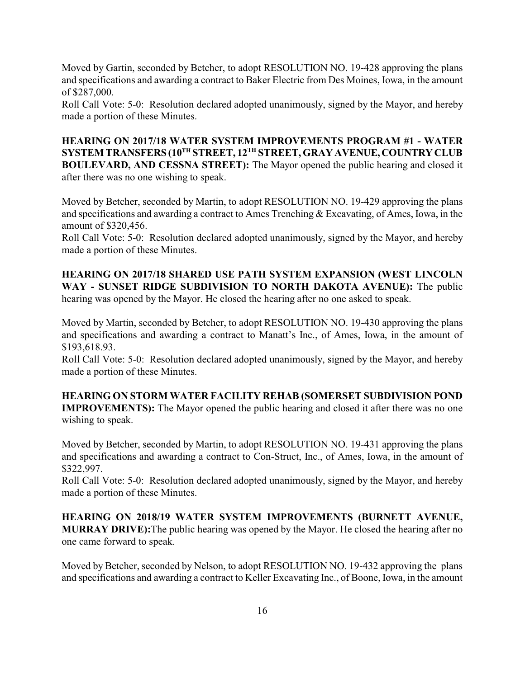Moved by Gartin, seconded by Betcher, to adopt RESOLUTION NO. 19-428 approving the plans and specifications and awarding a contract to Baker Electric from Des Moines, Iowa, in the amount of \$287,000.

Roll Call Vote: 5-0: Resolution declared adopted unanimously, signed by the Mayor, and hereby made a portion of these Minutes.

**HEARING ON 2017/18 WATER SYSTEM IMPROVEMENTS PROGRAM #1 - WATER SYSTEM TRANSFERS (10TH STREET, 12TH STREET, GRAY AVENUE,COUNTRYCLUB BOULEVARD, AND CESSNA STREET):** The Mayor opened the public hearing and closed it after there was no one wishing to speak.

Moved by Betcher, seconded by Martin, to adopt RESOLUTION NO. 19-429 approving the plans and specifications and awarding a contract to Ames Trenching & Excavating, of Ames, Iowa, in the amount of \$320,456.

Roll Call Vote: 5-0: Resolution declared adopted unanimously, signed by the Mayor, and hereby made a portion of these Minutes.

**HEARING ON 2017/18 SHARED USE PATH SYSTEM EXPANSION (WEST LINCOLN WAY - SUNSET RIDGE SUBDIVISION TO NORTH DAKOTA AVENUE):** The public hearing was opened by the Mayor. He closed the hearing after no one asked to speak.

Moved by Martin, seconded by Betcher, to adopt RESOLUTION NO. 19-430 approving the plans and specifications and awarding a contract to Manatt's Inc., of Ames, Iowa, in the amount of \$193,618.93.

Roll Call Vote: 5-0: Resolution declared adopted unanimously, signed by the Mayor, and hereby made a portion of these Minutes.

**HEARING ON STORM WATER FACILITY REHAB (SOMERSET SUBDIVISION POND IMPROVEMENTS):** The Mayor opened the public hearing and closed it after there was no one wishing to speak.

Moved by Betcher, seconded by Martin, to adopt RESOLUTION NO. 19-431 approving the plans and specifications and awarding a contract to Con-Struct, Inc., of Ames, Iowa, in the amount of \$322,997.

Roll Call Vote: 5-0: Resolution declared adopted unanimously, signed by the Mayor, and hereby made a portion of these Minutes.

**HEARING ON 2018/19 WATER SYSTEM IMPROVEMENTS (BURNETT AVENUE, MURRAY DRIVE):**The public hearing was opened by the Mayor. He closed the hearing after no one came forward to speak.

Moved by Betcher, seconded by Nelson, to adopt RESOLUTION NO. 19-432 approving the plans and specifications and awarding a contract to Keller Excavating Inc., of Boone, Iowa, in the amount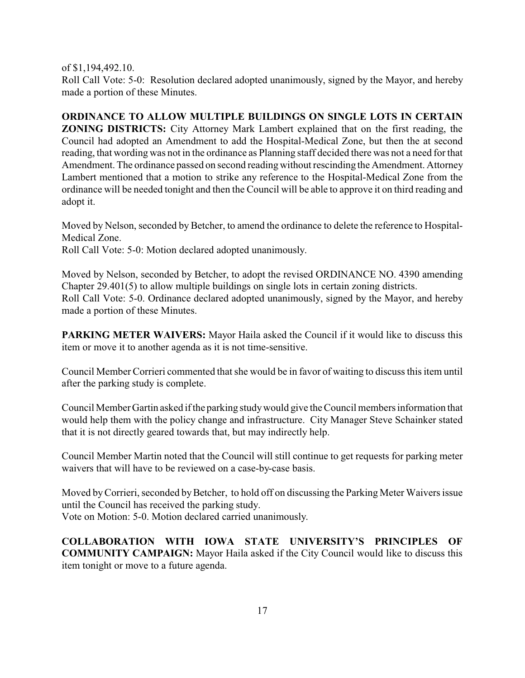of \$1,194,492.10.

Roll Call Vote: 5-0: Resolution declared adopted unanimously, signed by the Mayor, and hereby made a portion of these Minutes.

**ORDINANCE TO ALLOW MULTIPLE BUILDINGS ON SINGLE LOTS IN CERTAIN ZONING DISTRICTS:** City Attorney Mark Lambert explained that on the first reading, the Council had adopted an Amendment to add the Hospital-Medical Zone, but then the at second reading, that wording was not in the ordinance as Planning staff decided there was not a need for that Amendment. The ordinance passed on second reading without rescinding the Amendment. Attorney Lambert mentioned that a motion to strike any reference to the Hospital-Medical Zone from the ordinance will be needed tonight and then the Council will be able to approve it on third reading and adopt it.

Moved by Nelson, seconded by Betcher, to amend the ordinance to delete the reference to Hospital-Medical Zone.

Roll Call Vote: 5-0: Motion declared adopted unanimously.

Moved by Nelson, seconded by Betcher, to adopt the revised ORDINANCE NO. 4390 amending Chapter 29.401(5) to allow multiple buildings on single lots in certain zoning districts. Roll Call Vote: 5-0. Ordinance declared adopted unanimously, signed by the Mayor, and hereby made a portion of these Minutes.

**PARKING METER WAIVERS:** Mayor Haila asked the Council if it would like to discuss this item or move it to another agenda as it is not time-sensitive.

Council Member Corrieri commented that she would be in favor of waiting to discuss this item until after the parking study is complete.

Council Member Gartin asked if the parking studywould give the Council members information that would help them with the policy change and infrastructure. City Manager Steve Schainker stated that it is not directly geared towards that, but may indirectly help.

Council Member Martin noted that the Council will still continue to get requests for parking meter waivers that will have to be reviewed on a case-by-case basis.

Moved by Corrieri, seconded by Betcher, to hold off on discussing the Parking Meter Waivers issue until the Council has received the parking study.

Vote on Motion: 5-0. Motion declared carried unanimously.

**COLLABORATION WITH IOWA STATE UNIVERSITY'S PRINCIPLES OF COMMUNITY CAMPAIGN:** Mayor Haila asked if the City Council would like to discuss this item tonight or move to a future agenda.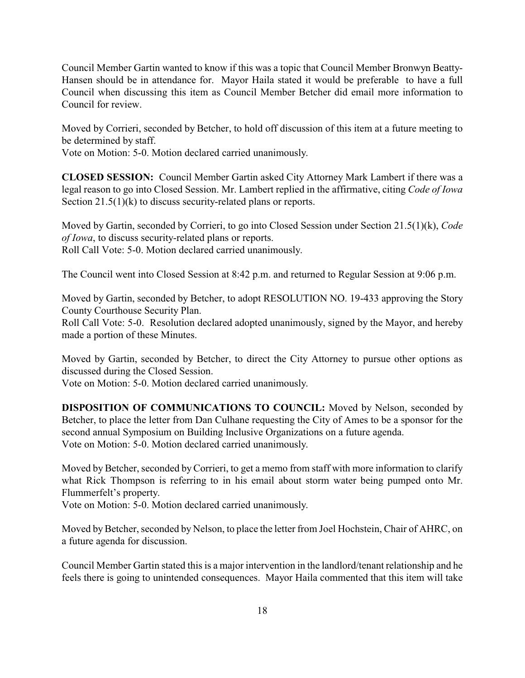Council Member Gartin wanted to know if this was a topic that Council Member Bronwyn Beatty-Hansen should be in attendance for. Mayor Haila stated it would be preferable to have a full Council when discussing this item as Council Member Betcher did email more information to Council for review.

Moved by Corrieri, seconded by Betcher, to hold off discussion of this item at a future meeting to be determined by staff.

Vote on Motion: 5-0. Motion declared carried unanimously.

**CLOSED SESSION:** Council Member Gartin asked City Attorney Mark Lambert if there was a legal reason to go into Closed Session. Mr. Lambert replied in the affirmative, citing *Code of Iowa* Section 21.5(1)(k) to discuss security-related plans or reports.

Moved by Gartin, seconded by Corrieri, to go into Closed Session under Section 21.5(1)(k), *Code of Iowa*, to discuss security-related plans or reports. Roll Call Vote: 5-0. Motion declared carried unanimously.

The Council went into Closed Session at 8:42 p.m. and returned to Regular Session at 9:06 p.m.

Moved by Gartin, seconded by Betcher, to adopt RESOLUTION NO. 19-433 approving the Story County Courthouse Security Plan.

Roll Call Vote: 5-0. Resolution declared adopted unanimously, signed by the Mayor, and hereby made a portion of these Minutes.

Moved by Gartin, seconded by Betcher, to direct the City Attorney to pursue other options as discussed during the Closed Session.

Vote on Motion: 5-0. Motion declared carried unanimously.

**DISPOSITION OF COMMUNICATIONS TO COUNCIL:** Moved by Nelson, seconded by Betcher, to place the letter from Dan Culhane requesting the City of Ames to be a sponsor for the second annual Symposium on Building Inclusive Organizations on a future agenda. Vote on Motion: 5-0. Motion declared carried unanimously.

Moved by Betcher, seconded byCorrieri, to get a memo from staff with more information to clarify what Rick Thompson is referring to in his email about storm water being pumped onto Mr. Flummerfelt's property.

Vote on Motion: 5-0. Motion declared carried unanimously.

Moved by Betcher, seconded by Nelson, to place the letter from Joel Hochstein, Chair of AHRC, on a future agenda for discussion.

Council Member Gartin stated this is a major intervention in the landlord/tenant relationship and he feels there is going to unintended consequences. Mayor Haila commented that this item will take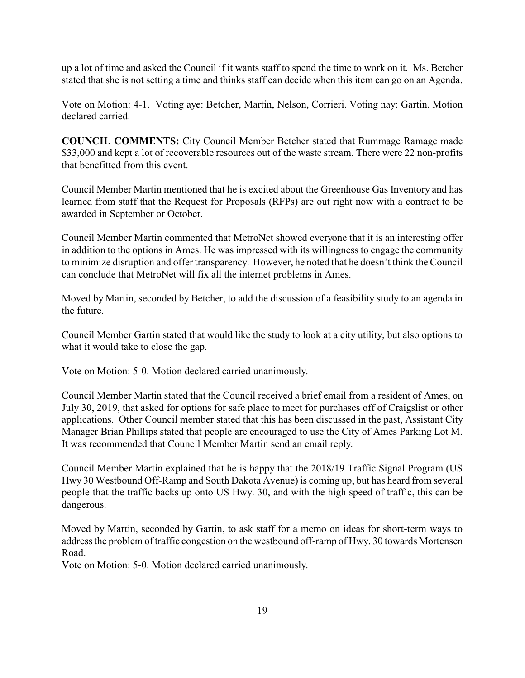up a lot of time and asked the Council if it wants staff to spend the time to work on it. Ms. Betcher stated that she is not setting a time and thinks staff can decide when this item can go on an Agenda.

Vote on Motion: 4-1. Voting aye: Betcher, Martin, Nelson, Corrieri. Voting nay: Gartin. Motion declared carried.

**COUNCIL COMMENTS:** City Council Member Betcher stated that Rummage Ramage made \$33,000 and kept a lot of recoverable resources out of the waste stream. There were 22 non-profits that benefitted from this event.

Council Member Martin mentioned that he is excited about the Greenhouse Gas Inventory and has learned from staff that the Request for Proposals (RFPs) are out right now with a contract to be awarded in September or October.

Council Member Martin commented that MetroNet showed everyone that it is an interesting offer in addition to the options in Ames. He was impressed with its willingness to engage the community to minimize disruption and offer transparency. However, he noted that he doesn't think the Council can conclude that MetroNet will fix all the internet problems in Ames.

Moved by Martin, seconded by Betcher, to add the discussion of a feasibility study to an agenda in the future.

Council Member Gartin stated that would like the study to look at a city utility, but also options to what it would take to close the gap.

Vote on Motion: 5-0. Motion declared carried unanimously.

Council Member Martin stated that the Council received a brief email from a resident of Ames, on July 30, 2019, that asked for options for safe place to meet for purchases off of Craigslist or other applications. Other Council member stated that this has been discussed in the past, Assistant City Manager Brian Phillips stated that people are encouraged to use the City of Ames Parking Lot M. It was recommended that Council Member Martin send an email reply.

Council Member Martin explained that he is happy that the 2018/19 Traffic Signal Program (US Hwy 30 Westbound Off-Ramp and South Dakota Avenue) is coming up, but has heard from several people that the traffic backs up onto US Hwy. 30, and with the high speed of traffic, this can be dangerous.

Moved by Martin, seconded by Gartin, to ask staff for a memo on ideas for short-term ways to address the problem of traffic congestion on the westbound off-ramp of Hwy. 30 towards Mortensen Road.

Vote on Motion: 5-0. Motion declared carried unanimously.